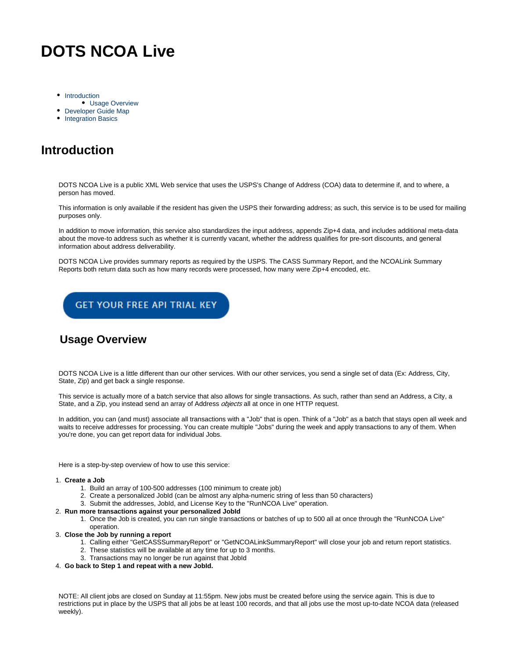# **DOTS NCOA Live**

- [Introduction](#page-0-0)
- [Usage Overview](#page-0-1)
- [Developer Guide Map](#page-0-2)
- [Integration Basics](#page-1-0)

# <span id="page-0-0"></span>**Introduction**

DOTS NCOA Live is a public XML Web service that uses the USPS's Change of Address (COA) data to determine if, and to where, a person has moved.

This information is only available if the resident has given the USPS their forwarding address; as such, this service is to be used for mailing purposes only.

In addition to move information, this service also standardizes the input address, appends Zip+4 data, and includes additional meta-data about the move-to address such as whether it is currently vacant, whether the address qualifies for pre-sort discounts, and general information about address deliverability.

DOTS NCOA Live provides summary reports as required by the USPS. The CASS Summary Report, and the NCOALink Summary Reports both return data such as how many records were processed, how many were Zip+4 encoded, etc.



### <span id="page-0-1"></span>**Usage Overview**

DOTS NCOA Live is a little different than our other services. With our other services, you send a single set of data (Ex: Address, City, State, Zip) and get back a single response.

This service is actually more of a batch service that also allows for single transactions. As such, rather than send an Address, a City, a State, and a Zip, you instead send an array of Address *objects* all at once in one HTTP request.

In addition, you can (and must) associate all transactions with a "Job" that is open. Think of a "Job" as a batch that stays open all week and waits to receive addresses for processing. You can create multiple "Jobs" during the week and apply transactions to any of them. When you're done, you can get report data for individual Jobs.

Here is a step-by-step overview of how to use this service:

#### 1. **Create a Job**

- 1. Build an array of 100-500 addresses (100 minimum to create job)
- 2. Create a personalized JobId (can be almost any alpha-numeric string of less than 50 characters)
- 3. Submit the addresses, JobId, and License Key to the "RunNCOA Live" operation.
- 2. **Run more transactions against your personalized JobId**
	- 1. Once the Job is created, you can run single transactions or batches of up to 500 all at once through the "RunNCOA Live" operation.
- 3. **Close the Job by running a report**
	- 1. Calling either "GetCASSSummaryReport" or "GetNCOALinkSummaryReport" will close your job and return report statistics.
	- 2. These statistics will be available at any time for up to 3 months.
	- 3. Transactions may no longer be run against that JobId
- 4. **Go back to Step 1 and repeat with a new JobId.**

<span id="page-0-2"></span>NOTE: All client jobs are closed on Sunday at 11:55pm. New jobs must be created before using the service again. This is due to restrictions put in place by the USPS that all jobs be at least 100 records, and that all jobs use the most up-to-date NCOA data (released weekly).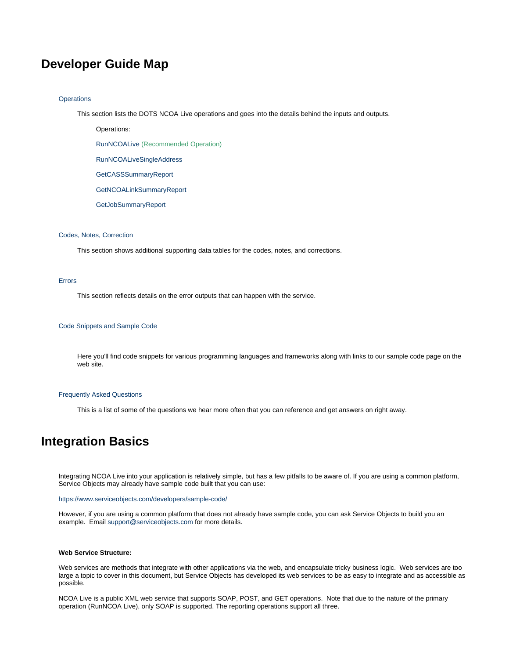## **Developer Guide Map**

#### **[Operations](https://docs.serviceobjects.com/display/devguide/NCOA+-+Operations)**

This section lists the DOTS NCOA Live operations and goes into the details behind the inputs and outputs.

Operations:

[RunNCOALive](https://docs.serviceobjects.com/display/devguide/NCOA+-+RunNCOALive+-+Recommended+Operation) (Recommended Operation)

[RunNCOALiveSingleAddress](https://docs.serviceobjects.com/display/devguide/NCOA+-+RunNCOALiveSingleAddress)

[GetCASSSummaryReport](https://docs.serviceobjects.com/display/devguide/NCOA+-+GetCASSSummaryReport)

[GetNCOALinkSummaryReport](https://docs.serviceobjects.com/display/devguide/NCOA+-+GetNCOALinkSummaryReport)

[GetJobSummaryReport](https://docs.serviceobjects.com/display/devguide/NCOA+-+GetJobSummaryReport)

#### [Codes, Notes, Correction](https://docs.serviceobjects.com/display/devguide/NCOA+-+Codes+and+Notes)

This section shows additional supporting data tables for the codes, notes, and corrections.

#### [Errors](https://docs.serviceobjects.com/display/devguide/NCOA+-+Errors)

This section reflects details on the error outputs that can happen with the service.

#### [Code Snippets and Sample Code](https://docs.serviceobjects.com/display/devguide/NCOA+-+Code+Snippets+and+Sample+Code)

Here you'll find code snippets for various programming languages and frameworks along with links to our sample code page on the web site.

#### [Frequently Asked Questions](https://docs.serviceobjects.com/display/devguide/NCOA+-+Frequently+Asked+Questions)

This is a list of some of the questions we hear more often that you can reference and get answers on right away.

### <span id="page-1-0"></span>**Integration Basics**

Integrating NCOA Live into your application is relatively simple, but has a few pitfalls to be aware of. If you are using a common platform, Service Objects may already have sample code built that you can use:

<https://www.serviceobjects.com/developers/sample-code/>

However, if you are using a common platform that does not already have sample code, you can ask Service Objects to build you an example. Email [support@serviceobjects.com](mailto:support@serviceobjects.com) for more details.

#### **Web Service Structure:**

Web services are methods that integrate with other applications via the web, and encapsulate tricky business logic. Web services are too large a topic to cover in this document, but Service Objects has developed its web services to be as easy to integrate and as accessible as possible.

NCOA Live is a public XML web service that supports SOAP, POST, and GET operations. Note that due to the nature of the primary operation (RunNCOA Live), only SOAP is supported. The reporting operations support all three.